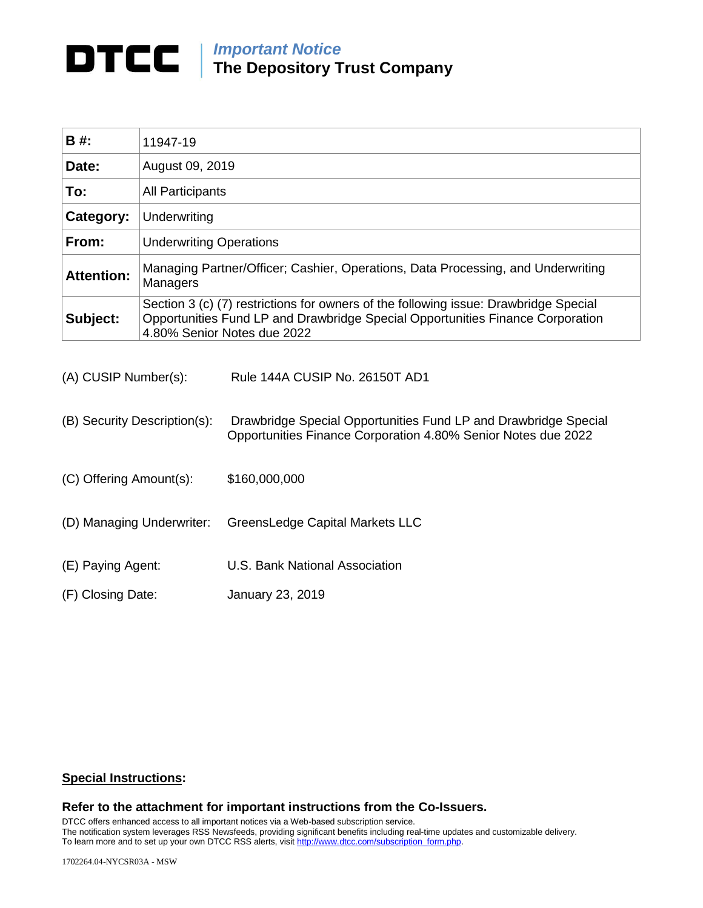# *Important Notice*

**The Depository Trust Company**

| B #:              | 11947-19                                                                                                                                                                                              |
|-------------------|-------------------------------------------------------------------------------------------------------------------------------------------------------------------------------------------------------|
| Date:             | August 09, 2019                                                                                                                                                                                       |
| To:               | <b>All Participants</b>                                                                                                                                                                               |
| Category:         | Underwriting                                                                                                                                                                                          |
| From:             | <b>Underwriting Operations</b>                                                                                                                                                                        |
| <b>Attention:</b> | Managing Partner/Officer; Cashier, Operations, Data Processing, and Underwriting<br>Managers                                                                                                          |
| Subject:          | Section 3 (c) (7) restrictions for owners of the following issue: Drawbridge Special<br>Opportunities Fund LP and Drawbridge Special Opportunities Finance Corporation<br>4.80% Senior Notes due 2022 |

- (B) Security Description(s): Drawbridge Special Opportunities Fund LP and Drawbridge Special Opportunities Finance Corporation 4.80% Senior Notes due 2022
- (C) Offering Amount(s): \$160,000,000
- (D) Managing Underwriter: GreensLedge Capital Markets LLC
- (E) Paying Agent: U.S. Bank National Association
- (F) Closing Date: January 23, 2019

## **Special Instructions:**

## **Refer to the attachment for important instructions from the Co-Issuers.**

DTCC offers enhanced access to all important notices via a Web-based subscription service. The notification system leverages RSS Newsfeeds, providing significant benefits including real-time updates and customizable delivery. To learn more and to set up your own DTCC RSS alerts, visi[t http://www.dtcc.com/subscription\\_form.php.](http://www.dtcc.com/subscription_form.php)